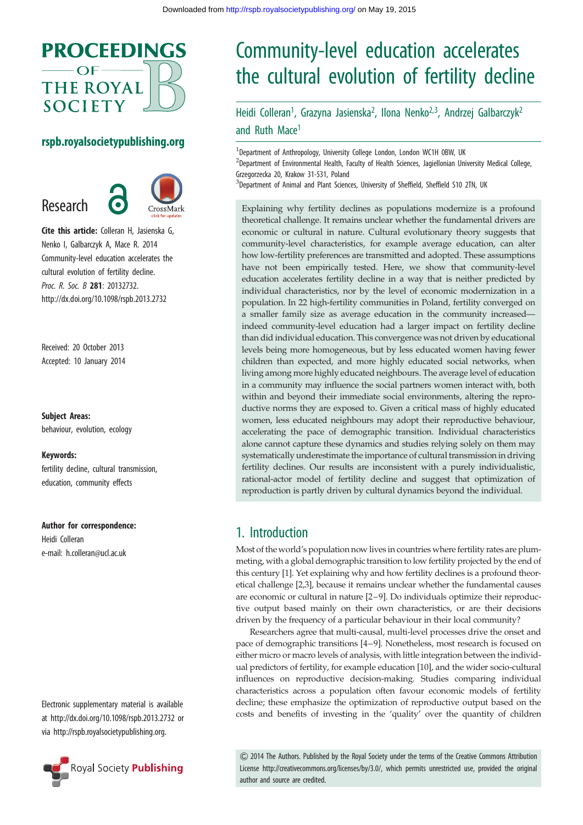

#### rspb.royalsocietypublishing.org

Research



Cite this article: Colleran H, Jasienska G, Nenko I, Galbarczyk A, Mace R. 2014 Community-level education accelerates the cultural evolution of fertility decline. Proc. R. Soc. B 281: 20132732. http://dx.doi.org/10.1098/rspb.2013.2732

Received: 20 October 2013 Accepted: 10 January 2014

Subject Areas: behaviour, evolution, ecology

#### Keywords:

fertility decline, cultural transmission, education, community effects

Author for correspondence:

Heidi Colleran e-mail: [h.colleran@ucl.ac.uk](mailto:h.colleran@ucl.ac.uk)

Electronic supplementary material is available at<http://dx.doi.org/10.1098/rspb.2013.2732> or via<http://rspb.royalsocietypublishing.org>.



# Community-level education accelerates the cultural evolution of fertility decline

Heidi Colleran<sup>1</sup>, Grazyna Jasienska<sup>2</sup>, Ilona Nenko<sup>2,3</sup>, Andrzej Galbarczyk<sup>2</sup> and Ruth Mace<sup>1</sup>

<sup>1</sup>Department of Anthropology, University College London, London WC1H 0BW, UK <sup>2</sup>Department of Environmental Health, Faculty of Health Sciences, Jagiellonian University Medical College, Grzegorzecka 20, Krakow 31-531, Poland <sup>3</sup>Department of Animal and Plant Sciences, University of Sheffield, Sheffield S10 2TN, UK

Explaining why fertility declines as populations modernize is a profound theoretical challenge. It remains unclear whether the fundamental drivers are economic or cultural in nature. Cultural evolutionary theory suggests that community-level characteristics, for example average education, can alter how low-fertility preferences are transmitted and adopted. These assumptions have not been empirically tested. Here, we show that community-level education accelerates fertility decline in a way that is neither predicted by individual characteristics, nor by the level of economic modernization in a population. In 22 high-fertility communities in Poland, fertility converged on a smaller family size as average education in the community increased indeed community-level education had a larger impact on fertility decline than did individual education. This convergence was not driven by educational levels being more homogeneous, but by less educated women having fewer children than expected, and more highly educated social networks, when living among more highly educated neighbours. The average level of education in a community may influence the social partners women interact with, both within and beyond their immediate social environments, altering the reproductive norms they are exposed to. Given a critical mass of highly educated women, less educated neighbours may adopt their reproductive behaviour, accelerating the pace of demographic transition. Individual characteristics alone cannot capture these dynamics and studies relying solely on them may systematically underestimate the importance of cultural transmission in driving fertility declines. Our results are inconsistent with a purely individualistic, rational-actor model of fertility decline and suggest that optimization of reproduction is partly driven by cultural dynamics beyond the individual.

# 1. Introduction

Most of theworld's population now lives in countries where fertility rates are plummeting, with a global demographic transition to low fertility projected by the end of this century [\[1](#page-5-0)]. Yet explaining why and how fertility declines is a profound theoretical challenge [[2,3\]](#page-5-0), because it remains unclear whether the fundamental causes are economic or cultural in nature [\[2](#page-5-0)–[9](#page-6-0)]. Do individuals optimize their reproductive output based mainly on their own characteristics, or are their decisions driven by the frequency of a particular behaviour in their local community?

Researchers agree that multi-causal, multi-level processes drive the onset and pace of demographic transitions [\[4](#page-5-0)–[9](#page-6-0)]. Nonetheless, most research is focused on either micro or macro levels of analysis, with little integration between the individual predictors of fertility, for example education [[10\]](#page-6-0), and the wider socio-cultural influences on reproductive decision-making. Studies comparing individual characteristics across a population often favour economic models of fertility decline; these emphasize the optimization of reproductive output based on the costs and benefits of investing in the 'quality' over the quantity of children

& 2014 The Authors. Published by the Royal Society under the terms of the Creative Commons Attribution License http://creativecommons.org/licenses/by/3.0/, which permits unrestricted use, provided the original author and source are credited.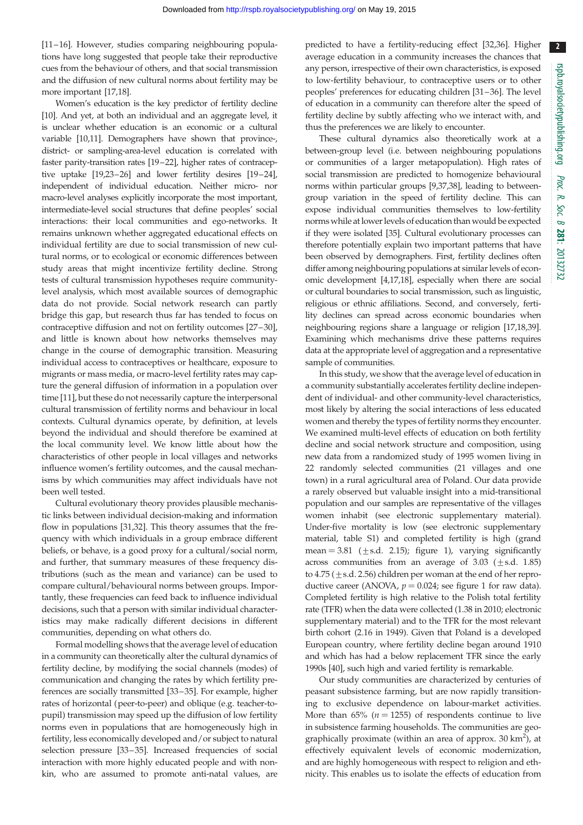$\overline{\phantom{a}}$  2

[\[11](#page-6-0)–[16](#page-6-0)]. However, studies comparing neighbouring populations have long suggested that people take their reproductive cues from the behaviour of others, and that social transmission and the diffusion of new cultural norms about fertility may be more important [\[17,18](#page-6-0)].

Women's education is the key predictor of fertility decline [\[10\]](#page-6-0). And yet, at both an individual and an aggregate level, it is unclear whether education is an economic or a cultural variable [\[10,11](#page-6-0)]. Demographers have shown that province-, district- or sampling-area-level education is correlated with faster parity-transition rates [\[19](#page-6-0)–[22](#page-6-0)], higher rates of contraceptive uptake [\[19,23](#page-6-0)–[26\]](#page-6-0) and lower fertility desires [\[19](#page-6-0)–[24](#page-6-0)], independent of individual education. Neither micro- nor macro-level analyses explicitly incorporate the most important, intermediate-level social structures that define peoples' social interactions: their local communities and ego-networks. It remains unknown whether aggregated educational effects on individual fertility are due to social transmission of new cultural norms, or to ecological or economic differences between study areas that might incentivize fertility decline. Strong tests of cultural transmission hypotheses require communitylevel analysis, which most available sources of demographic data do not provide. Social network research can partly bridge this gap, but research thus far has tended to focus on contraceptive diffusion and not on fertility outcomes [\[27](#page-6-0)–[30](#page-6-0)], and little is known about how networks themselves may change in the course of demographic transition. Measuring individual access to contraceptives or healthcare, exposure to migrants or mass media, or macro-level fertility rates may capture the general diffusion of information in a population over time [\[11](#page-6-0)], but these do not necessarily capture the interpersonal cultural transmission of fertility norms and behaviour in local contexts. Cultural dynamics operate, by definition, at levels beyond the individual and should therefore be examined at the local community level. We know little about how the characteristics of other people in local villages and networks influence women's fertility outcomes, and the causal mechanisms by which communities may affect individuals have not been well tested.

Cultural evolutionary theory provides plausible mechanistic links between individual decision-making and information flow in populations [[31,32\]](#page-6-0). This theory assumes that the frequency with which individuals in a group embrace different beliefs, or behave, is a good proxy for a cultural/social norm, and further, that summary measures of these frequency distributions (such as the mean and variance) can be used to compare cultural/behavioural norms between groups. Importantly, these frequencies can feed back to influence individual decisions, such that a person with similar individual characteristics may make radically different decisions in different communities, depending on what others do.

Formal modelling shows that the average level of education in a community can theoretically alter the cultural dynamics of fertility decline, by modifying the social channels (modes) of communication and changing the rates by which fertility preferences are socially transmitted [\[33](#page-6-0)–[35](#page-6-0)]. For example, higher rates of horizontal (peer-to-peer) and oblique (e.g. teacher-topupil) transmission may speed up the diffusion of low fertility norms even in populations that are homogeneously high in fertility, less economically developed and/or subject to natural selection pressure [\[33](#page-6-0)–[35\]](#page-6-0). Increased frequencies of social interaction with more highly educated people and with nonkin, who are assumed to promote anti-natal values, are

predicted to have a fertility-reducing effect [[32,36\]](#page-6-0). Higher average education in a community increases the chances that any person, irrespective of their own characteristics, is exposed to low-fertility behaviour, to contraceptive users or to other peoples' preferences for educating children [\[31](#page-6-0)–[36](#page-6-0)]. The level of education in a community can therefore alter the speed of fertility decline by subtly affecting who we interact with, and thus the preferences we are likely to encounter.

These cultural dynamics also theoretically work at a between-group level (i.e. between neighbouring populations or communities of a larger metapopulation). High rates of social transmission are predicted to homogenize behavioural norms within particular groups [\[9](#page-6-0),[37,38](#page-6-0)], leading to betweengroup variation in the speed of fertility decline. This can expose individual communities themselves to low-fertility norms while at lower levels of education than would be expected if they were isolated [[35\]](#page-6-0). Cultural evolutionary processes can therefore potentially explain two important patterns that have been observed by demographers. First, fertility declines often differ among neighbouring populations at similar levels of economic development [[4](#page-5-0)[,17,18\]](#page-6-0), especially when there are social or cultural boundaries to social transmission, such as linguistic, religious or ethnic affiliations. Second, and conversely, fertility declines can spread across economic boundaries when neighbouring regions share a language or religion [\[17,18,39\]](#page-6-0). Examining which mechanisms drive these patterns requires data at the appropriate level of aggregation and a representative sample of communities.

In this study, we show that the average level of education in a community substantially accelerates fertility decline independent of individual- and other community-level characteristics, most likely by altering the social interactions of less educated women and thereby the types of fertility norms they encounter. We examined multi-level effects of education on both fertility decline and social network structure and composition, using new data from a randomized study of 1995 women living in 22 randomly selected communities (21 villages and one town) in a rural agricultural area of Poland. Our data provide a rarely observed but valuable insight into a mid-transitional population and our samples are representative of the villages women inhabit (see electronic supplementary material). Under-five mortality is low (see electronic supplementary material, table S1) and completed fertility is high (grand mean = 3.81 ( $\pm$ s.d. 2.15); [figure 1\)](#page-2-0), varying significantly across communities from an average of 3.03 ( $\pm$ s.d. 1.85) to 4.75 ( $\pm$  s.d. 2.56) children per woman at the end of her reproductive career (ANOVA,  $p = 0.024$ ; see [figure 1](#page-2-0) for raw data). Completed fertility is high relative to the Polish total fertility rate (TFR) when the data were collected (1.38 in 2010; electronic supplementary material) and to the TFR for the most relevant birth cohort (2.16 in 1949). Given that Poland is a developed European country, where fertility decline began around 1910 and which has had a below replacement TFR since the early 1990s [\[40](#page-6-0)], such high and varied fertility is remarkable.

Our study communities are characterized by centuries of peasant subsistence farming, but are now rapidly transitioning to exclusive dependence on labour-market activities. More than 65% ( $n = 1255$ ) of respondents continue to live in subsistence farming households. The communities are geographically proximate (within an area of approx.  $30 \text{ km}^2$ ), at effectively equivalent levels of economic modernization, and are highly homogeneous with respect to religion and ethnicity. This enables us to isolate the effects of education from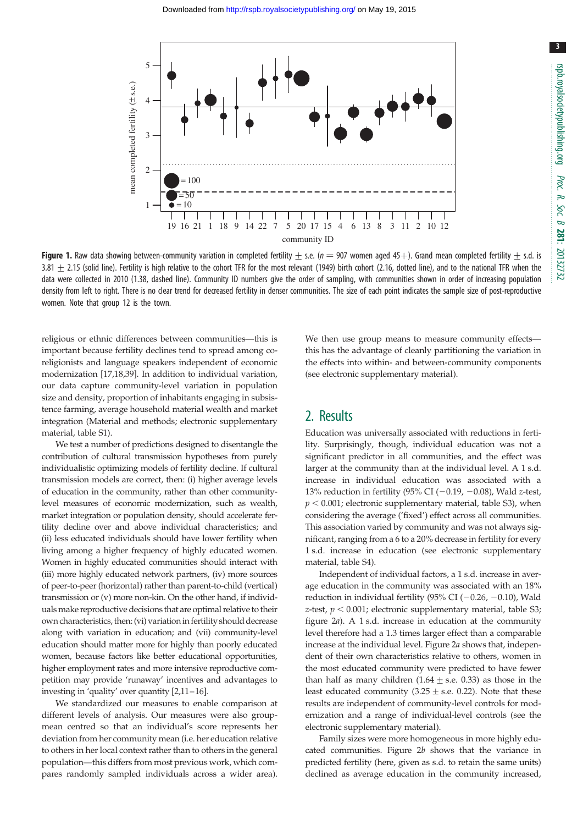<span id="page-2-0"></span>

**Figure 1.** Raw data showing between-community variation in completed fertility  $+$  s.e. ( $n = 907$  women aged 45+). Grand mean completed fertility  $+$  s.d. is 3.81+2.15 (solid line). Fertility is high relative to the cohort TFR for the most relevant (1949) birth cohort (2.16, dotted line), and to the national TFR when the data were collected in 2010 (1.38, dashed line). Community ID numbers give the order of sampling, with communities shown in order of increasing population density from left to right. There is no clear trend for decreased fertility in denser communities. The size of each point indicates the sample size of post-reproductive women. Note that group 12 is the town.

religious or ethnic differences between communities—this is important because fertility declines tend to spread among coreligionists and language speakers independent of economic modernization [[17,18,39\]](#page-6-0). In addition to individual variation, our data capture community-level variation in population size and density, proportion of inhabitants engaging in subsistence farming, average household material wealth and market integration (Material and methods; electronic supplementary material, table S1).

We test a number of predictions designed to disentangle the contribution of cultural transmission hypotheses from purely individualistic optimizing models of fertility decline. If cultural transmission models are correct, then: (i) higher average levels of education in the community, rather than other communitylevel measures of economic modernization, such as wealth, market integration or population density, should accelerate fertility decline over and above individual characteristics; and (ii) less educated individuals should have lower fertility when living among a higher frequency of highly educated women. Women in highly educated communities should interact with (iii) more highly educated network partners, (iv) more sources of peer-to-peer (horizontal) rather than parent-to-child (vertical) transmission or (v) more non-kin. On the other hand, if individuals make reproductive decisions that are optimal relative to their own characteristics, then: (vi) variation in fertility should decrease along with variation in education; and (vii) community-level education should matter more for highly than poorly educated women, because factors like better educational opportunities, higher employment rates and more intensive reproductive competition may provide 'runaway' incentives and advantages to investing in 'quality' over quantity [\[2](#page-5-0),[11](#page-6-0)–[16\]](#page-6-0).

We standardized our measures to enable comparison at different levels of analysis. Our measures were also groupmean centred so that an individual's score represents her deviation from her community mean (i.e. her education relative to others in her local context rather than to others in the general population—this differs from most previous work, which compares randomly sampled individuals across a wider area). We then use group means to measure community effects this has the advantage of cleanly partitioning the variation in the effects into within- and between-community components (see electronic supplementary material).

### 2. Results

Education was universally associated with reductions in fertility. Surprisingly, though, individual education was not a significant predictor in all communities, and the effect was larger at the community than at the individual level. A 1 s.d. increase in individual education was associated with a 13% reduction in fertility (95% CI ( $-0.19$ ,  $-0.08$ ), Wald z-test,  $p < 0.001$ ; electronic supplementary material, table S3), when considering the average ('fixed') effect across all communities. This association varied by community and was not always significant, ranging from a 6 to a 20% decrease in fertility for every 1 s.d. increase in education (see electronic supplementary material, table S4).

Independent of individual factors, a 1 s.d. increase in average education in the community was associated with an 18% reduction in individual fertility (95% CI ( $-0.26$ ,  $-0.10$ ), Wald z-test,  $p < 0.001$ ; electronic supplementary material, table S3; [figure 2](#page-3-0)a). A 1 s.d. increase in education at the community level therefore had a 1.3 times larger effect than a comparable increase at the individual level. [Figure 2](#page-3-0)a shows that, independent of their own characteristics relative to others, women in the most educated community were predicted to have fewer than half as many children (1.64  $\pm$  s.e. 0.33) as those in the least educated community (3.25  $\pm$  s.e. 0.22). Note that these results are independent of community-level controls for modernization and a range of individual-level controls (see the electronic supplementary material).

Family sizes were more homogeneous in more highly educated communities. Figure  $2b$  shows that the variance in predicted fertility (here, given as s.d. to retain the same units) declined as average education in the community increased,

3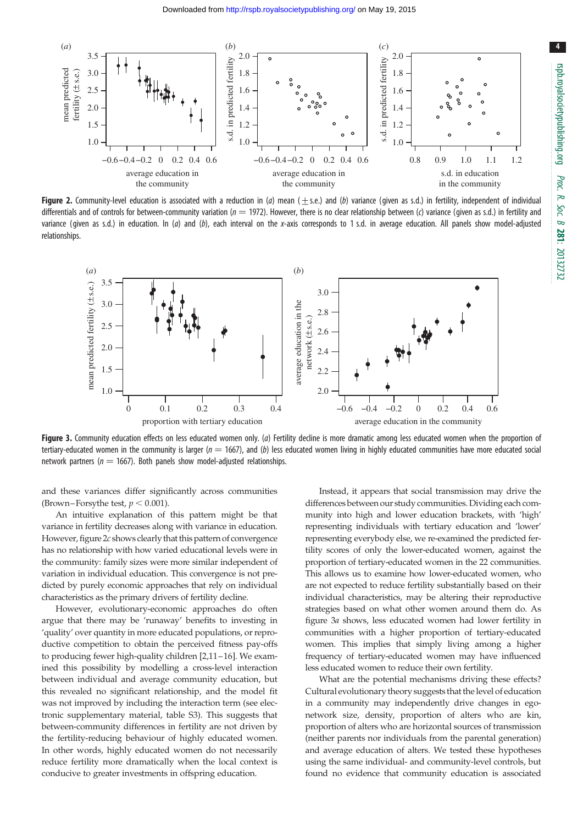<span id="page-3-0"></span>

**Figure 2.** Community-level education is associated with a reduction in (a) mean  $( + s.e.)$  and (b) variance (given as s.d.) in fertility, independent of individual differentials and of controls for between-community variation ( $n = 1972$ ). However, there is no clear relationship between (c) variance (given as s.d.) in fertility and variance (given as s.d.) in education. In (a) and (b), each interval on the x-axis corresponds to 1 s.d. in average education. All panels show model-adjusted relationships.



Figure 3. Community education effects on less educated women only. (a) Fertility decline is more dramatic among less educated women when the proportion of tertiary-educated women in the community is larger ( $n = 1667$ ), and (b) less educated women living in highly educated communities have more educated social network partners ( $n = 1667$ ). Both panels show model-adjusted relationships.

and these variances differ significantly across communities (Brown–Forsythe test,  $p < 0.001$ ).

An intuitive explanation of this pattern might be that variance in fertility decreases along with variance in education. However, figure 2c shows clearly that this pattern of convergence has no relationship with how varied educational levels were in the community: family sizes were more similar independent of variation in individual education. This convergence is not predicted by purely economic approaches that rely on individual characteristics as the primary drivers of fertility decline.

However, evolutionary-economic approaches do often argue that there may be 'runaway' benefits to investing in 'quality' over quantity in more educated populations, or reproductive competition to obtain the perceived fitness pay-offs to producing fewer high-quality children [[2](#page-5-0)[,11](#page-6-0)–[16](#page-6-0)]. We examined this possibility by modelling a cross-level interaction between individual and average community education, but this revealed no significant relationship, and the model fit was not improved by including the interaction term (see electronic supplementary material, table S3). This suggests that between-community differences in fertility are not driven by the fertility-reducing behaviour of highly educated women. In other words, highly educated women do not necessarily reduce fertility more dramatically when the local context is conducive to greater investments in offspring education.

Instead, it appears that social transmission may drive the differences between our study communities. Dividing each community into high and lower education brackets, with 'high' representing individuals with tertiary education and 'lower' representing everybody else, we re-examined the predicted fertility scores of only the lower-educated women, against the proportion of tertiary-educated women in the 22 communities. This allows us to examine how lower-educated women, who are not expected to reduce fertility substantially based on their individual characteristics, may be altering their reproductive strategies based on what other women around them do. As figure 3a shows, less educated women had lower fertility in communities with a higher proportion of tertiary-educated women. This implies that simply living among a higher frequency of tertiary-educated women may have influenced less educated women to reduce their own fertility.

What are the potential mechanisms driving these effects? Cultural evolutionary theory suggests that the level of education in a community may independently drive changes in egonetwork size, density, proportion of alters who are kin, proportion of alters who are horizontal sources of transmission (neither parents nor individuals from the parental generation) and average education of alters. We tested these hypotheses using the same individual- and community-level controls, but found no evidence that community education is associated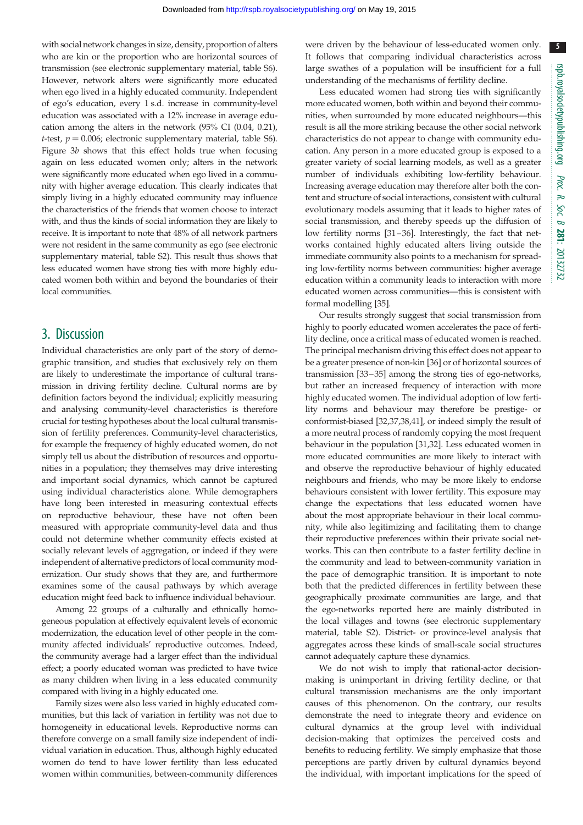with social network changes in size, density, proportion of alters who are kin or the proportion who are horizontal sources of transmission (see electronic supplementary material, table S6). However, network alters were significantly more educated when ego lived in a highly educated community. Independent of ego's education, every 1 s.d. increase in community-level education was associated with a 12% increase in average education among the alters in the network (95% CI (0.04, 0.21), t-test,  $p = 0.006$ ; electronic supplementary material, table S6). [Figure 3](#page-3-0)b shows that this effect holds true when focusing again on less educated women only; alters in the network were significantly more educated when ego lived in a community with higher average education. This clearly indicates that simply living in a highly educated community may influence the characteristics of the friends that women choose to interact with, and thus the kinds of social information they are likely to receive. It is important to note that 48% of all network partners were not resident in the same community as ego (see electronic supplementary material, table S2). This result thus shows that less educated women have strong ties with more highly educated women both within and beyond the boundaries of their local communities.

### 3. Discussion

Individual characteristics are only part of the story of demographic transition, and studies that exclusively rely on them are likely to underestimate the importance of cultural transmission in driving fertility decline. Cultural norms are by definition factors beyond the individual; explicitly measuring and analysing community-level characteristics is therefore crucial for testing hypotheses about the local cultural transmission of fertility preferences. Community-level characteristics, for example the frequency of highly educated women, do not simply tell us about the distribution of resources and opportunities in a population; they themselves may drive interesting and important social dynamics, which cannot be captured using individual characteristics alone. While demographers have long been interested in measuring contextual effects on reproductive behaviour, these have not often been measured with appropriate community-level data and thus could not determine whether community effects existed at socially relevant levels of aggregation, or indeed if they were independent of alternative predictors of local community modernization. Our study shows that they are, and furthermore examines some of the causal pathways by which average education might feed back to influence individual behaviour.

Among 22 groups of a culturally and ethnically homogeneous population at effectively equivalent levels of economic modernization, the education level of other people in the community affected individuals' reproductive outcomes. Indeed, the community average had a larger effect than the individual effect; a poorly educated woman was predicted to have twice as many children when living in a less educated community compared with living in a highly educated one.

Family sizes were also less varied in highly educated communities, but this lack of variation in fertility was not due to homogeneity in educational levels. Reproductive norms can therefore converge on a small family size independent of individual variation in education. Thus, although highly educated women do tend to have lower fertility than less educated women within communities, between-community differences

were driven by the behaviour of less-educated women only. It follows that comparing individual characteristics across large swathes of a population will be insufficient for a full understanding of the mechanisms of fertility decline.

Less educated women had strong ties with significantly more educated women, both within and beyond their communities, when surrounded by more educated neighbours—this result is all the more striking because the other social network characteristics do not appear to change with community education. Any person in a more educated group is exposed to a greater variety of social learning models, as well as a greater number of individuals exhibiting low-fertility behaviour. Increasing average education may therefore alter both the content and structure of social interactions, consistent with cultural evolutionary models assuming that it leads to higher rates of social transmission, and thereby speeds up the diffusion of low fertility norms [\[31](#page-6-0)–[36](#page-6-0)]. Interestingly, the fact that networks contained highly educated alters living outside the immediate community also points to a mechanism for spreading low-fertility norms between communities: higher average education within a community leads to interaction with more educated women across communities—this is consistent with formal modelling [\[35](#page-6-0)].

Our results strongly suggest that social transmission from highly to poorly educated women accelerates the pace of fertility decline, once a critical mass of educated women is reached. The principal mechanism driving this effect does not appear to be a greater presence of non-kin [[36\]](#page-6-0) or of horizontal sources of transmission [\[33](#page-6-0)–[35](#page-6-0)] among the strong ties of ego-networks, but rather an increased frequency of interaction with more highly educated women. The individual adoption of low fertility norms and behaviour may therefore be prestige- or conformist-biased [[32,37,38,41](#page-6-0)], or indeed simply the result of a more neutral process of randomly copying the most frequent behaviour in the population [\[31](#page-6-0),[32](#page-6-0)]. Less educated women in more educated communities are more likely to interact with and observe the reproductive behaviour of highly educated neighbours and friends, who may be more likely to endorse behaviours consistent with lower fertility. This exposure may change the expectations that less educated women have about the most appropriate behaviour in their local community, while also legitimizing and facilitating them to change their reproductive preferences within their private social networks. This can then contribute to a faster fertility decline in the community and lead to between-community variation in the pace of demographic transition. It is important to note both that the predicted differences in fertility between these geographically proximate communities are large, and that the ego-networks reported here are mainly distributed in the local villages and towns (see electronic supplementary material, table S2). District- or province-level analysis that aggregates across these kinds of small-scale social structures cannot adequately capture these dynamics.

We do not wish to imply that rational-actor decisionmaking is unimportant in driving fertility decline, or that cultural transmission mechanisms are the only important causes of this phenomenon. On the contrary, our results demonstrate the need to integrate theory and evidence on cultural dynamics at the group level with individual decision-making that optimizes the perceived costs and benefits to reducing fertility. We simply emphasize that those perceptions are partly driven by cultural dynamics beyond the individual, with important implications for the speed of 5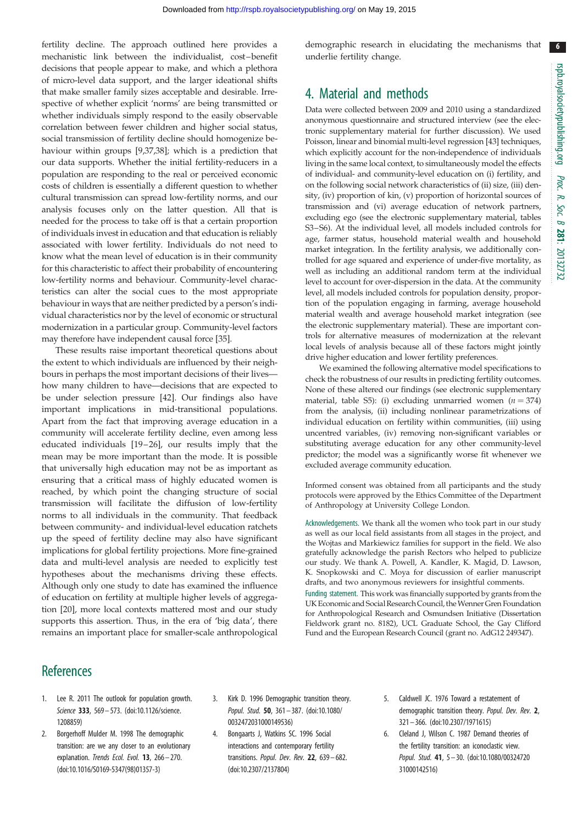<span id="page-5-0"></span>fertility decline. The approach outlined here provides a mechanistic link between the individualist, cost–benefit decisions that people appear to make, and which a plethora of micro-level data support, and the larger ideational shifts that make smaller family sizes acceptable and desirable. Irrespective of whether explicit 'norms' are being transmitted or whether individuals simply respond to the easily observable correlation between fewer children and higher social status, social transmission of fertility decline should homogenize behaviour within groups [\[9,37,38\]](#page-6-0); which is a prediction that our data supports. Whether the initial fertility-reducers in a population are responding to the real or perceived economic costs of children is essentially a different question to whether cultural transmission can spread low-fertility norms, and our analysis focuses only on the latter question. All that is needed for the process to take off is that a certain proportion of individuals invest in education and that education is reliably associated with lower fertility. Individuals do not need to know what the mean level of education is in their community for this characteristic to affect their probability of encountering low-fertility norms and behaviour. Community-level characteristics can alter the social cues to the most appropriate behaviour in ways that are neither predicted by a person's individual characteristics nor by the level of economic or structural modernization in a particular group. Community-level factors may therefore have independent causal force [\[35\]](#page-6-0).

These results raise important theoretical questions about the extent to which individuals are influenced by their neighbours in perhaps the most important decisions of their lives how many children to have—decisions that are expected to be under selection pressure [\[42](#page-6-0)]. Our findings also have important implications in mid-transitional populations. Apart from the fact that improving average education in a community will accelerate fertility decline, even among less educated individuals [[19](#page-6-0)-26], our results imply that the mean may be more important than the mode. It is possible that universally high education may not be as important as ensuring that a critical mass of highly educated women is reached, by which point the changing structure of social transmission will facilitate the diffusion of low-fertility norms to all individuals in the community. That feedback between community- and individual-level education ratchets up the speed of fertility decline may also have significant implications for global fertility projections. More fine-grained data and multi-level analysis are needed to explicitly test hypotheses about the mechanisms driving these effects. Although only one study to date has examined the influence of education on fertility at multiple higher levels of aggregation [\[20](#page-6-0)], more local contexts mattered most and our study supports this assertion. Thus, in the era of 'big data', there remains an important place for smaller-scale anthropological

demographic research in elucidating the mechanisms that underlie fertility change.

# 4. Material and methods

Data were collected between 2009 and 2010 using a standardized anonymous questionnaire and structured interview (see the electronic supplementary material for further discussion). We used Poisson, linear and binomial multi-level regression [[43](#page-6-0)] techniques, which explicitly account for the non-independence of individuals living in the same local context, to simultaneously model the effects of individual- and community-level education on (i) fertility, and on the following social network characteristics of (ii) size, (iii) density, (iv) proportion of kin, (v) proportion of horizontal sources of transmission and (vi) average education of network partners, excluding ego (see the electronic supplementary material, tables S3–S6). At the individual level, all models included controls for age, farmer status, household material wealth and household market integration. In the fertility analysis, we additionally controlled for age squared and experience of under-five mortality, as well as including an additional random term at the individual level to account for over-dispersion in the data. At the community level, all models included controls for population density, proportion of the population engaging in farming, average household material wealth and average household market integration (see the electronic supplementary material). These are important controls for alternative measures of modernization at the relevant local levels of analysis because all of these factors might jointly drive higher education and lower fertility preferences.

We examined the following alternative model specifications to check the robustness of our results in predicting fertility outcomes. None of these altered our findings (see electronic supplementary material, table S5): (i) excluding unmarried women  $(n = 374)$ from the analysis, (ii) including nonlinear parametrizations of individual education on fertility within communities, (iii) using uncentred variables, (iv) removing non-significant variables or substituting average education for any other community-level predictor; the model was a significantly worse fit whenever we excluded average community education.

Informed consent was obtained from all participants and the study protocols were approved by the Ethics Committee of the Department of Anthropology at University College London.

Acknowledgements. We thank all the women who took part in our study as well as our local field assistants from all stages in the project, and the Wojtas and Markiewicz families for support in the field. We also gratefully acknowledge the parish Rectors who helped to publicize our study. We thank A. Powell, A. Kandler, K. Magid, D. Lawson, K. Snopkowski and C. Moya for discussion of earlier manuscript drafts, and two anonymous reviewers for insightful comments.

Funding statement. This work was financially supported by grants from the UK Economic and Social Research Council, theWenner Gren Foundation for Anthropological Research and Osmundsen Initiative (Dissertation Fieldwork grant no. 8182), UCL Graduate School, the Gay Clifford Fund and the European Research Council (grant no. AdG12 249347).

# **References**

- 1. Lee R. 2011 The outlook for population growth. Science 333, 569-573. ([doi:10.1126/science.](http://dx.doi.org/10.1126/science.1208859) [1208859\)](http://dx.doi.org/10.1126/science.1208859)
- 2. Borgerhoff Mulder M. 1998 The demographic transition: are we any closer to an evolutionary explanation. Trends Ecol. Evol. 13, 266-270. [\(doi:10.1016/S0169-5347\(98\)01357-3](http://dx.doi.org/10.1016/S0169-5347(98)01357-3))
- 3. Kirk D. 1996 Demographic transition theory. Popul. Stud. 50, 361-387. ([doi:10.1080/](http://dx.doi.org/10.1080/0032472031000149536) [0032472031000149536](http://dx.doi.org/10.1080/0032472031000149536))
- 4. Bongaarts J, Watkins SC. 1996 Social interactions and contemporary fertility transitions. Popul. Dev. Rev. 22, 639-682. [\(doi:10.2307/2137804](http://dx.doi.org/10.2307/2137804))
- 5. Caldwell JC. 1976 Toward a restatement of demographic transition theory. Popul. Dev. Rev. 2, 321– 366. [\(doi:10.2307/1971615](http://dx.doi.org/10.2307/1971615))
- 6. Cleland J, Wilson C. 1987 Demand theories of the fertility transition: an iconoclastic view. Popul. Stud. 41, 5– 30. ([doi:10.1080/00324720](http://dx.doi.org/10.1080/0032472031000142516) [31000142516\)](http://dx.doi.org/10.1080/0032472031000142516)

6